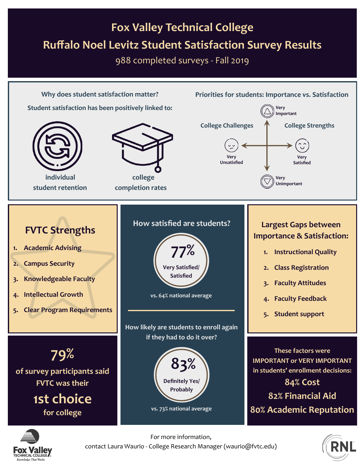#### **Fox Valley Technical College Ruffalo Noel Levitz Student Satisfaction Survey Results**

988 completed surveys - Fall 2019



![](_page_0_Picture_3.jpeg)

For more information, contact Laura Waurio - College Research Manager (waurio@fvtc.edu)

![](_page_0_Picture_5.jpeg)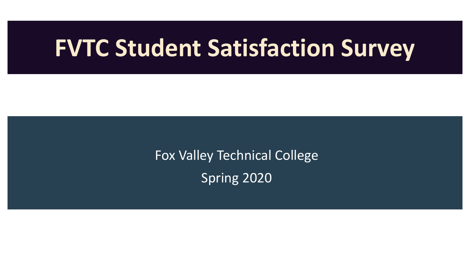## **FVTC Student Satisfaction Survey**

Fox Valley Technical College Spring 2020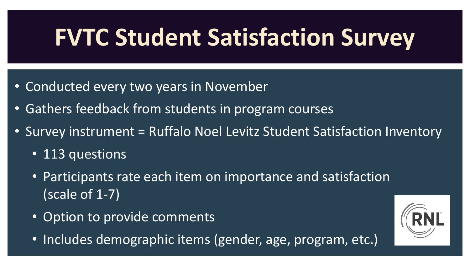# **FVTC Student Satisfaction Survey**

- Conducted every two years in November
- Gathers feedback from students in program courses
- Survey instrument = Ruffalo Noel Levitz Student Satisfaction Inventory
	- 113 questions
	- Participants rate each item on importance and satisfaction (scale of 1-7)
	- Option to provide comments
	- Includes demographic items (gender, age, program, etc.)

![](_page_2_Picture_8.jpeg)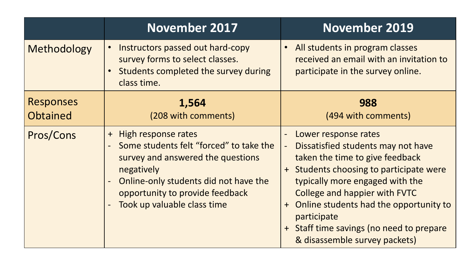|                                     | <b>November 2017</b>                                                                                                                                                                                                                | <b>November 2019</b>                                                                                                                                                                                                                                                                                                                                                                |
|-------------------------------------|-------------------------------------------------------------------------------------------------------------------------------------------------------------------------------------------------------------------------------------|-------------------------------------------------------------------------------------------------------------------------------------------------------------------------------------------------------------------------------------------------------------------------------------------------------------------------------------------------------------------------------------|
| Methodology                         | Instructors passed out hard-copy<br>survey forms to select classes.<br>Students completed the survey during<br>class time.                                                                                                          | All students in program classes<br>$\bullet$<br>received an email with an invitation to<br>participate in the survey online.                                                                                                                                                                                                                                                        |
| <b>Responses</b><br><b>Obtained</b> | 1,564<br>(208 with comments)                                                                                                                                                                                                        | 988<br>(494 with comments)                                                                                                                                                                                                                                                                                                                                                          |
| Pros/Cons                           | High response rates<br>$+$<br>Some students felt "forced" to take the<br>survey and answered the questions<br>negatively<br>Online-only students did not have the<br>opportunity to provide feedback<br>Took up valuable class time | Lower response rates<br>$\qquad \qquad -$<br>Dissatisfied students may not have<br>taken the time to give feedback<br>Students choosing to participate were<br>typically more engaged with the<br><b>College and happier with FVTC</b><br>Online students had the opportunity to<br>$+$<br>participate<br>+ Staff time savings (no need to prepare<br>& disassemble survey packets) |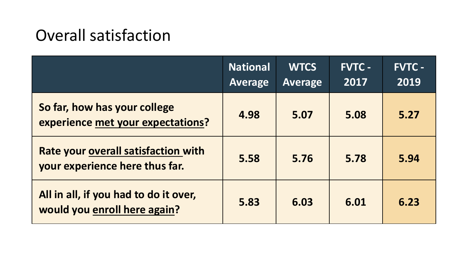### Overall satisfaction

|                                                                              | <b>National</b><br><b>Average</b> | <b>WTCS</b><br><b>Average</b> | <b>FVTC -</b><br>2017 | <b>FVTC -</b><br>2019 |
|------------------------------------------------------------------------------|-----------------------------------|-------------------------------|-----------------------|-----------------------|
| So far, how has your college<br>experience met your expectations?            | 4.98                              | 5.07                          | 5.08                  | 5.27                  |
| <b>Rate your overall satisfaction with</b><br>your experience here thus far. | 5.58                              | 5.76                          | 5.78                  | 5.94                  |
| All in all, if you had to do it over,<br>would you enroll here again?        | 5.83                              | 6.03                          | 6.01                  | 6.23                  |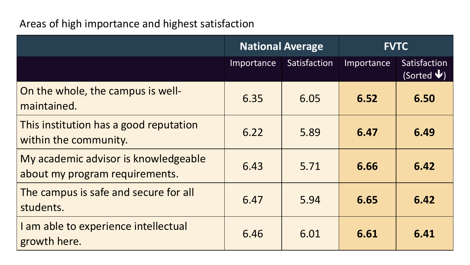#### Areas of high importance and highest satisfaction

|                                                                        | <b>National Average</b> |              | <b>FVTC</b> |                                                |
|------------------------------------------------------------------------|-------------------------|--------------|-------------|------------------------------------------------|
|                                                                        | Importance              | Satisfaction | Importance  | Satisfaction<br>(Sorted $\blacktriangledown$ ) |
| On the whole, the campus is well-<br>maintained.                       | 6.35                    | 6.05         | 6.52        | 6.50                                           |
| This institution has a good reputation<br>within the community.        | 6.22                    | 5.89         | 6.47        | 6.49                                           |
| My academic advisor is knowledgeable<br>about my program requirements. | 6.43                    | 5.71         | 6.66        | 6.42                                           |
| The campus is safe and secure for all<br>students.                     | 6.47                    | 5.94         | 6.65        | 6.42                                           |
| I am able to experience intellectual<br>growth here.                   | 6.46                    | 6.01         | 6.61        | 6.41                                           |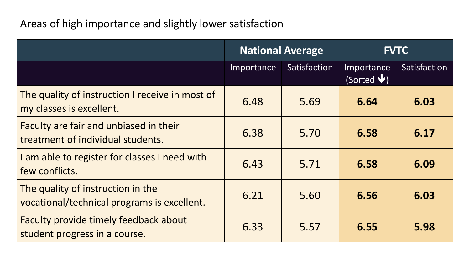#### Areas of high importance and slightly lower satisfaction

|                                                                                  | <b>National Average</b> |              | <b>FVTC</b>                             |              |
|----------------------------------------------------------------------------------|-------------------------|--------------|-----------------------------------------|--------------|
|                                                                                  | Importance              | Satisfaction | Importance<br>(Sorted $\blacklozenge$ ) | Satisfaction |
| The quality of instruction I receive in most of<br>my classes is excellent.      | 6.48                    | 5.69         | 6.64                                    | 6.03         |
| Faculty are fair and unbiased in their<br>treatment of individual students.      | 6.38                    | 5.70         | 6.58                                    | 6.17         |
| I am able to register for classes I need with<br>few conflicts.                  | 6.43                    | 5.71         | 6.58                                    | 6.09         |
| The quality of instruction in the<br>vocational/technical programs is excellent. | 6.21                    | 5.60         | 6.56                                    | 6.03         |
| <b>Faculty provide timely feedback about</b><br>student progress in a course.    | 6.33                    | 5.57         | 6.55                                    | 5.98         |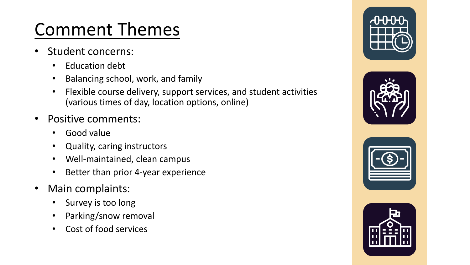### Comment Themes

- Student concerns:
	- Education debt
	- Balancing school, work, and family
	- Flexible course delivery, support services, and student activities (various times of day, location options, online)
- Positive comments:
	- Good value
	- Quality, caring instructors
	- Well-maintained, clean campus
	- Better than prior 4-year experience
- Main complaints:
	- Survey is too long
	- Parking/snow removal
	- Cost of food services

![](_page_7_Picture_14.jpeg)

![](_page_7_Picture_15.jpeg)

![](_page_7_Picture_16.jpeg)

![](_page_7_Picture_17.jpeg)